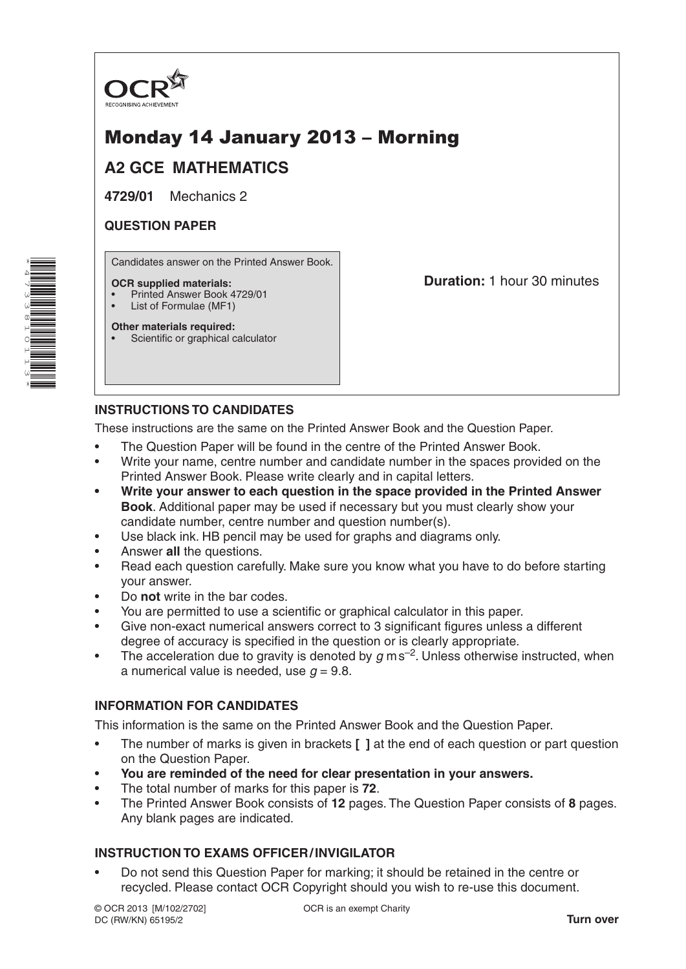

# Monday 14 January 2013 – Morning

# **A2 GCE MATHEMATICS**

**4729/01** Mechanics 2

# **QUESTION PAPER**

Candidates answer on the Printed Answer Book.

#### **OCR supplied materials:**

- Printed Answer Book 4729/01
- List of Formulae (MF1)

**Other materials required:** Scientific or graphical calculator **Duration:** 1 hour 30 minutes

# **INSTRUCTIONS TO CANDIDATES**

These instructions are the same on the Printed Answer Book and the Question Paper.

- The Question Paper will be found in the centre of the Printed Answer Book.
- Write your name, centre number and candidate number in the spaces provided on the Printed Answer Book. Please write clearly and in capital letters.
- **• Write your answer to each question in the space provided in the Printed Answer Book**. Additional paper may be used if necessary but you must clearly show your candidate number, centre number and question number(s).
- Use black ink. HB pencil may be used for graphs and diagrams only.
- Answer **all** the questions.
- Read each question carefully. Make sure you know what you have to do before starting your answer.
- Do **not** write in the bar codes.
- You are permitted to use a scientific or graphical calculator in this paper.
- Give non-exact numerical answers correct to 3 significant figures unless a different degree of accuracy is specified in the question or is clearly appropriate.
- The acceleration due to gravity is denoted by  $g$  ms<sup>-2</sup>. Unless otherwise instructed, when a numerical value is needed, use  $q = 9.8$ .

## **INFORMATION FOR CANDIDATES**

This information is the same on the Printed Answer Book and the Question Paper.

- The number of marks is given in brackets **[ ]** at the end of each question or part question on the Question Paper.
- **You are reminded of the need for clear presentation in your answers.**
- The total number of marks for this paper is **72**.
- The Printed Answer Book consists of **12** pages. The Question Paper consists of **8** pages. Any blank pages are indicated.

# **INSTRUCTION TO EXAMS OFFICER/INVIGILATOR**

• Do not send this Question Paper for marking; it should be retained in the centre or recycled. Please contact OCR Copyright should you wish to re-use this document.

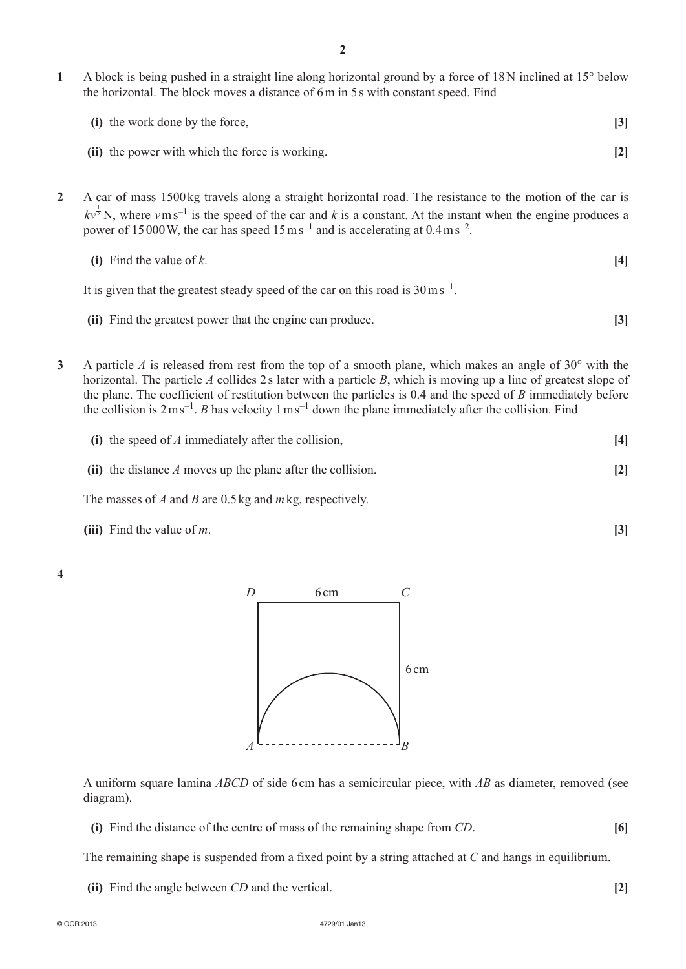**1**  A block is being pushed in a straight line along horizontal ground by a force of 18N inclined at 15° below the horizontal. The block moves a distance of 6m in 5s with constant speed. Find

| (i) the work done by the force,                 |  |
|-------------------------------------------------|--|
| (ii) the power with which the force is working. |  |

**2**  A car of mass 1500 kg travels along a straight horizontal road. The resistance to the motion of the car is  $kv^{\frac{1}{2}}$ N, where  $v$ ms<sup>-1</sup> is the speed of the car and *k* is a constant. At the instant when the engine produces a power of 15 000 W, the car has speed  $15 \text{ m s}^{-1}$  and is accelerating at  $0.4 \text{ m s}^{-2}$ .

| (i) Find the value of $k$ . | [4] |
|-----------------------------|-----|
|                             |     |

- It is given that the greatest steady speed of the car on this road is  $30 \text{ m s}^{-1}$ .
- **(ii)** Find the greatest power that the engine can produce. **[3]**
- **3**  A particle *A* is released from rest from the top of a smooth plane, which makes an angle of 30° with the horizontal. The particle *A* collides 2 s later with a particle *B*, which is moving up a line of greatest slope of the plane. The coefficient of restitution between the particles is 0.4 and the speed of *B* immediately before the collision is  $2 \text{ ms}^{-1}$ . *B* has velocity  $1 \text{ ms}^{-1}$  down the plane immediately after the collision. Find

| (i) the speed of $A$ immediately after the collision,         | 14 I           |
|---------------------------------------------------------------|----------------|
| (ii) the distance $A$ moves up the plane after the collision. | $\mathbf{[2]}$ |
| The masses of A and B are $0.5$ kg and $m$ kg, respectively.  |                |

 $\min$  Find the value of *m*. **[3]** 

**4**



A uniform square lamina *ABCD* of side 6 cm has a semicircular piece, with *AB* as diameter, removed (see diagram).

**(i)** Find the distance of the centre of mass of the remaining shape from *CD*.  $[6]$ 

The remaining shape is suspended from a fixed point by a string attached at *C* and hangs in equilibrium.

**(ii)** Find the angle between *CD* and the vertical. **[2]**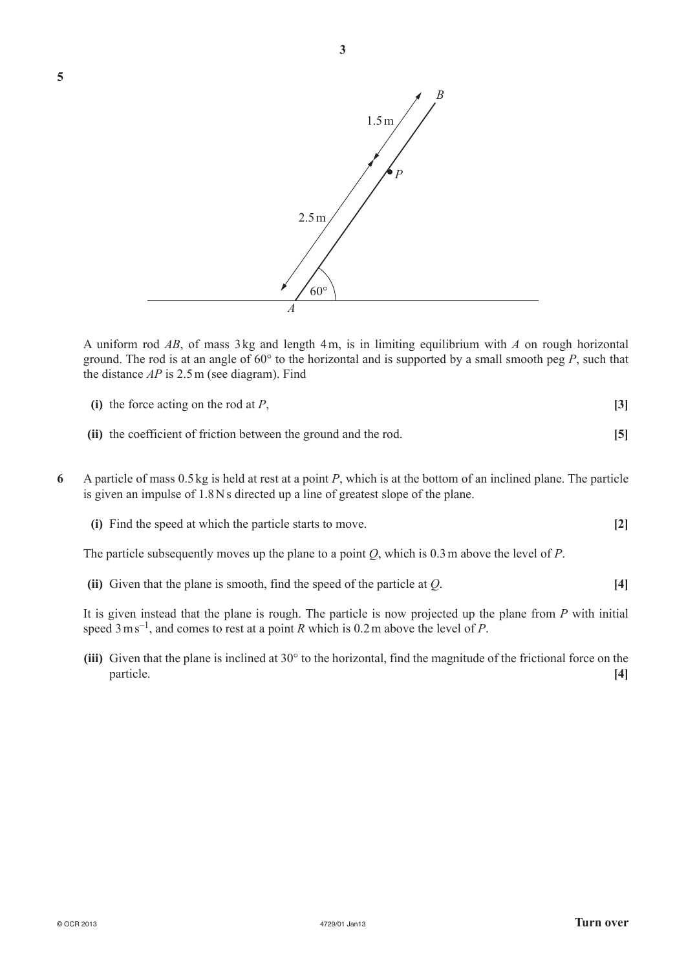

**3**

A uniform rod *AB*, of mass 3kg and length 4m, is in limiting equilibrium with *A* on rough horizontal ground. The rod is at an angle of 60° to the horizontal and is supported by a small smooth peg *P*, such that the distance *AP* is 2.5m (see diagram). Find

| (i) the force acting on the rod at $P$ , |  |
|------------------------------------------|--|
|------------------------------------------|--|

- **(ii)** the coefficient of friction between the ground and the rod. **[5]**
- **6**  A particle of mass 0.5 kg is held at rest at a point *P*, which is at the bottom of an inclined plane. The particle is given an impulse of 1.8Ns directed up a line of greatest slope of the plane.
	- **(i)** Find the speed at which the particle starts to move. **[2]**

The particle subsequently moves up the plane to a point *Q*, which is 0.3m above the level of *P*.

**(ii)** Given that the plane is smooth, find the speed of the particle at *Q*. [4]

It is given instead that the plane is rough. The particle is now projected up the plane from *P* with initial speed  $3 \text{ ms}^{-1}$ , and comes to rest at a point *R* which is 0.2m above the level of *P*.

**(iii)** Given that the plane is inclined at 30° to the horizontal, find the magnitude of the frictional force on the particle. **[4]**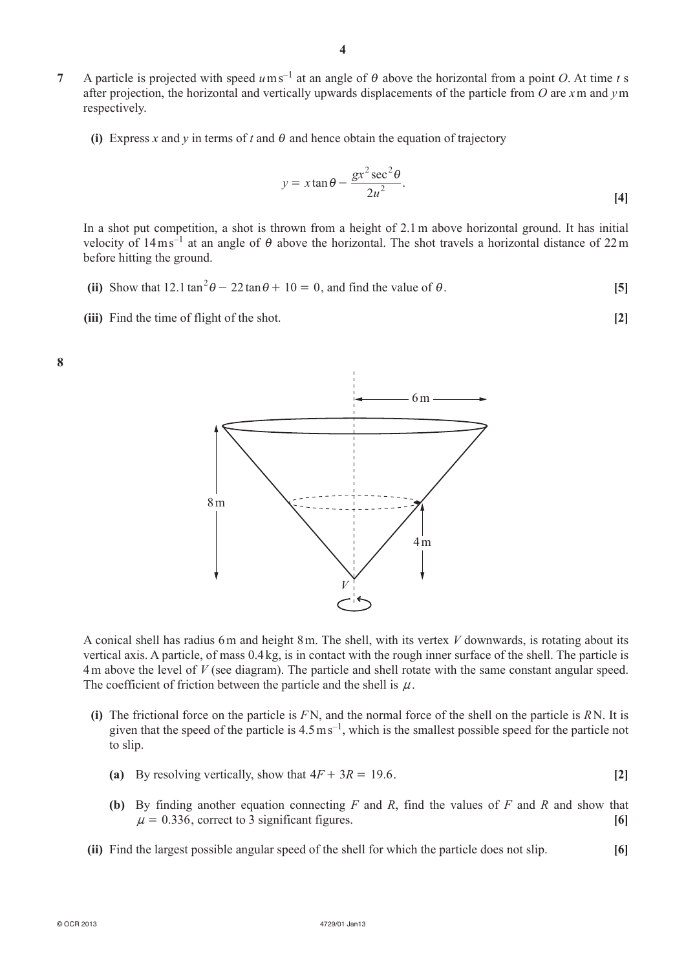- **7** A particle is projected with speed  $u$  m s<sup>-1</sup> at an angle of  $\theta$  above the horizontal from a point *O*. At time *t* s after projection, the horizontal and vertically upwards displacements of the particle from *O* are *x*m and *y*m respectively.
	- **(i)** Express *x* and *y* in terms of *t* and  $\theta$  and hence obtain the equation of trajectory

$$
y = x \tan \theta - \frac{gx^2 \sec^2 \theta}{2u^2}.
$$
 [4]

In a shot put competition, a shot is thrown from a height of 2.1m above horizontal ground. It has initial velocity of  $14 \text{ m s}^{-1}$  at an angle of  $\theta$  above the horizontal. The shot travels a horizontal distance of  $22 \text{ m}$ before hitting the ground.

- **(ii)** Show that  $12.1 \tan^2 \theta 22 \tan \theta + 10 = 0$ , and find the value of  $\theta$ . [5]
- *(iii)* Find the time of flight of the shot. **[2]**





A conical shell has radius 6m and height 8m. The shell, with its vertex *V* downwards, is rotating about its vertical axis. A particle, of mass 0.4kg, is in contact with the rough inner surface of the shell. The particle is 4m above the level of *V* (see diagram). The particle and shell rotate with the same constant angular speed. The coefficient of friction between the particle and the shell is  $\mu$ .

- **(i)**  The frictional force on the particle is *F*N, and the normal force of the shell on the particle is *R*N. It is given that the speed of the particle is  $4.5 \text{ m s}^{-1}$ , which is the smallest possible speed for the particle not to slip.
	- **(a)** By resolving vertically, show that  $4F + 3R = 19.6$ . [2]
	- **(b)** By finding another equation connecting *F* and *R*, find the values of *F* and *R* and show that  $\mu = 0.336$ , correct to 3 significant figures. **[6]**
- **(ii)** Find the largest possible angular speed of the shell for which the particle does not slip. **[6]**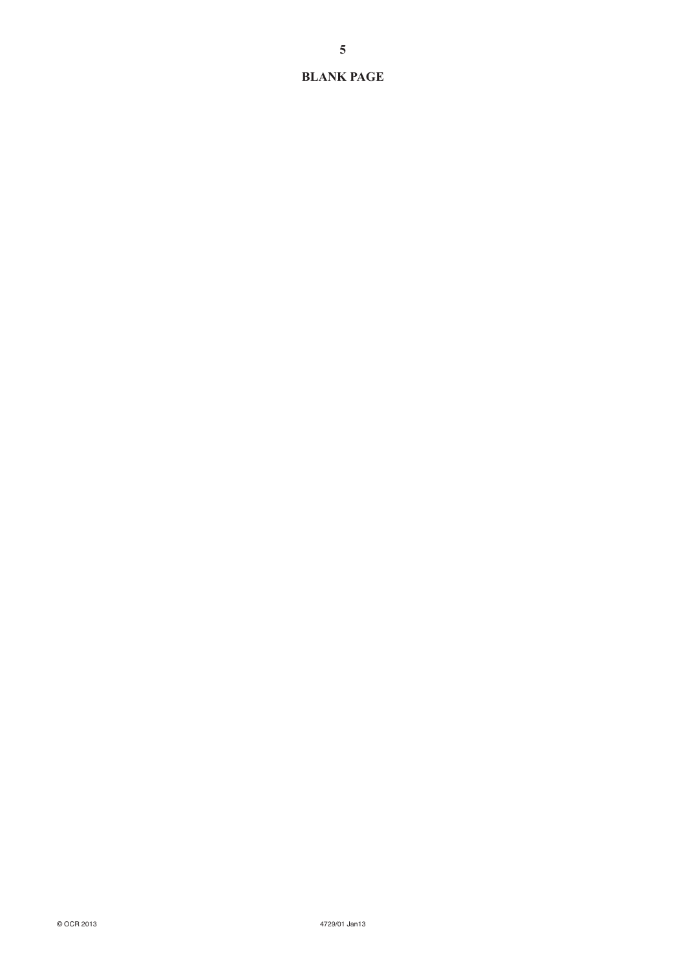### **BLANK PAGE**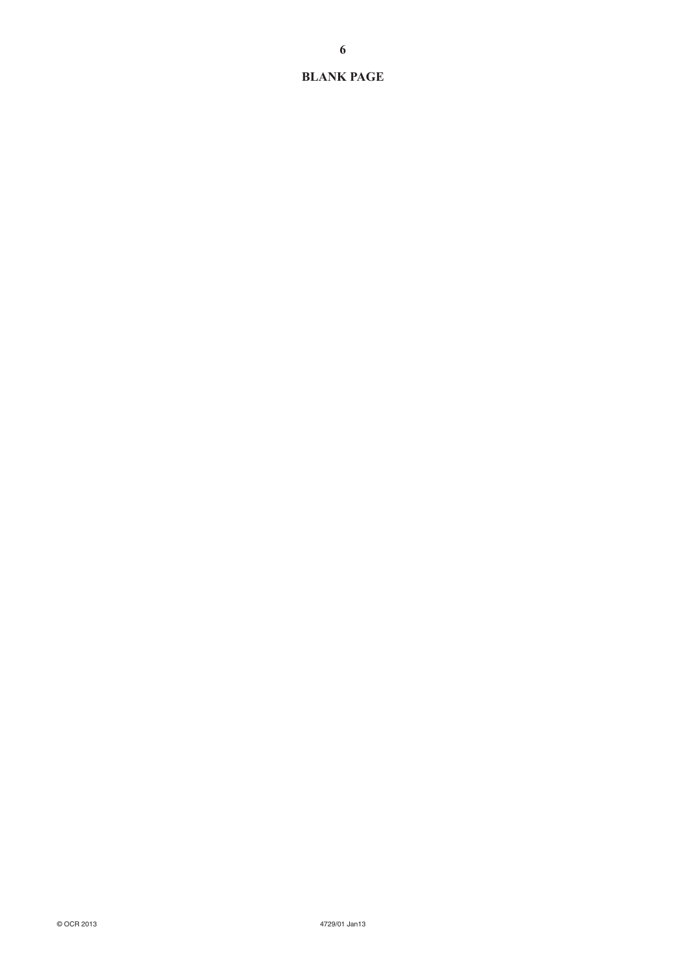### **BLANK PAGE**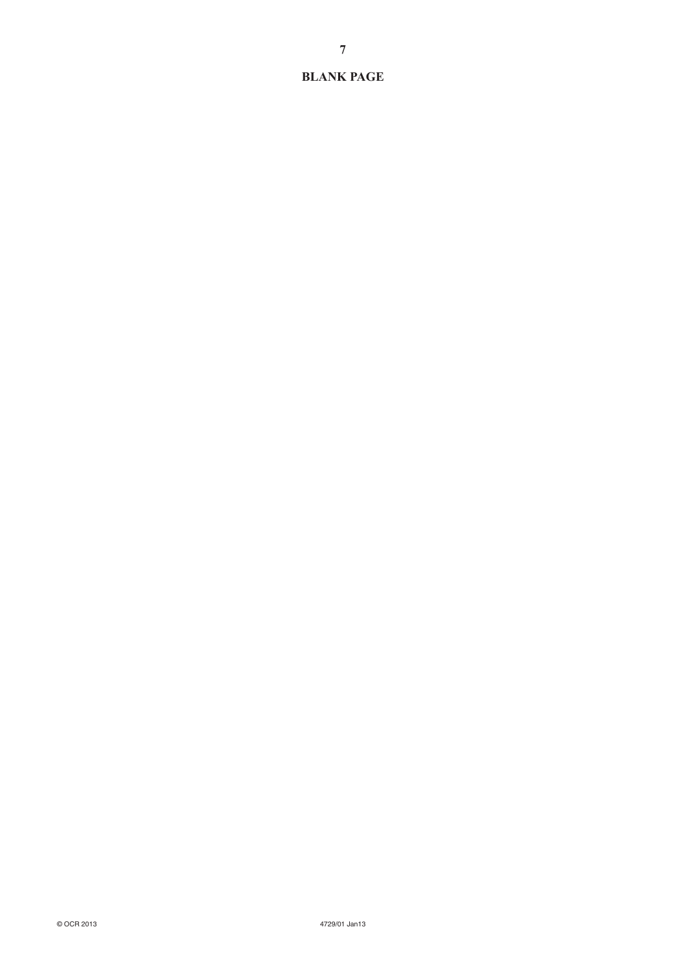### **BLANK PAGE**